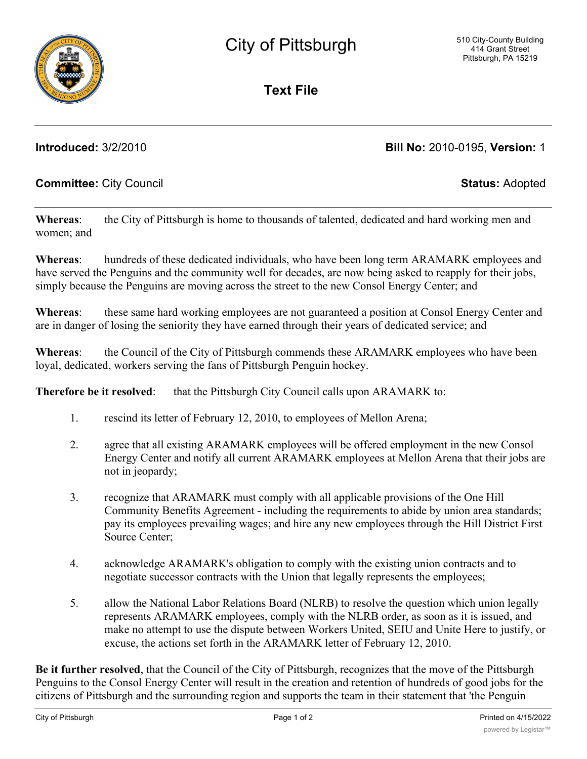**Text File**

## **Introduced:** 3/2/2010 **Bill No:** 2010-0195, **Version:** 1

### **Committee:** City Council **Status:** Adopted

**Whereas**: the City of Pittsburgh is home to thousands of talented, dedicated and hard working men and women; and

**Whereas**: hundreds of these dedicated individuals, who have been long term ARAMARK employees and have served the Penguins and the community well for decades, are now being asked to reapply for their jobs, simply because the Penguins are moving across the street to the new Consol Energy Center; and

**Whereas**: these same hard working employees are not guaranteed a position at Consol Energy Center and are in danger of losing the seniority they have earned through their years of dedicated service; and

**Whereas**: the Council of the City of Pittsburgh commends these ARAMARK employees who have been loyal, dedicated, workers serving the fans of Pittsburgh Penguin hockey.

**Therefore be it resolved:** that the Pittsburgh City Council calls upon ARAMARK to:

- 1. rescind its letter of February 12, 2010, to employees of Mellon Arena;
- 2. agree that all existing ARAMARK employees will be offered employment in the new Consol Energy Center and notify all current ARAMARK employees at Mellon Arena that their jobs are not in jeopardy;
- 3. recognize that ARAMARK must comply with all applicable provisions of the One Hill Community Benefits Agreement - including the requirements to abide by union area standards; pay its employees prevailing wages; and hire any new employees through the Hill District First Source Center;
- 4. acknowledge ARAMARK's obligation to comply with the existing union contracts and to negotiate successor contracts with the Union that legally represents the employees;
- 5. allow the National Labor Relations Board (NLRB) to resolve the question which union legally represents ARAMARK employees, comply with the NLRB order, as soon as it is issued, and make no attempt to use the dispute between Workers United, SEIU and Unite Here to justify, or excuse, the actions set forth in the ARAMARK letter of February 12, 2010.

**Be it further resolved**, that the Council of the City of Pittsburgh, recognizes that the move of the Pittsburgh Penguins to the Consol Energy Center will result in the creation and retention of hundreds of good jobs for the citizens of Pittsburgh and the surrounding region and supports the team in their statement that 'the Penguin